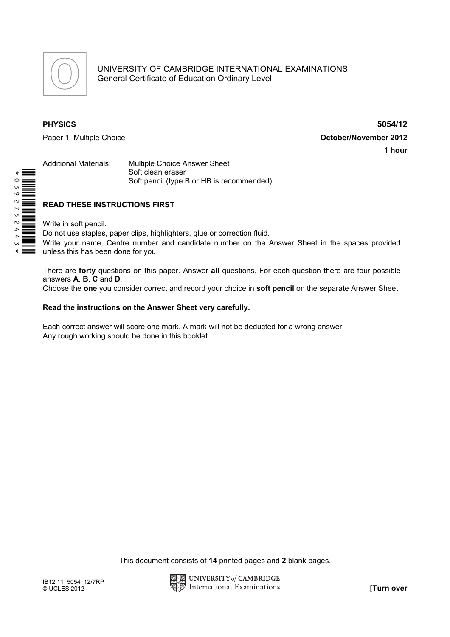

PHYSICS 5054/12 Paper 1 Multiple Choice **October/November 2012** 1 hour

Additional Materials: Multiple Choice Answer Sheet Soft clean eraser Soft pencil (type B or HB is recommended)

# READ THESE INSTRUCTIONS FIRST

Write in soft pencil.

Do not use staples, paper clips, highlighters, glue or correction fluid.

Write your name, Centre number and candidate number on the Answer Sheet in the spaces provided unless this has been done for you.

There are forty questions on this paper. Answer all questions. For each question there are four possible answers A, B, C and D.

Choose the one you consider correct and record your choice in soft pencil on the separate Answer Sheet.

### Read the instructions on the Answer Sheet very carefully.

Each correct answer will score one mark. A mark will not be deducted for a wrong answer. Any rough working should be done in this booklet.

This document consists of 14 printed pages and 2 blank pages.

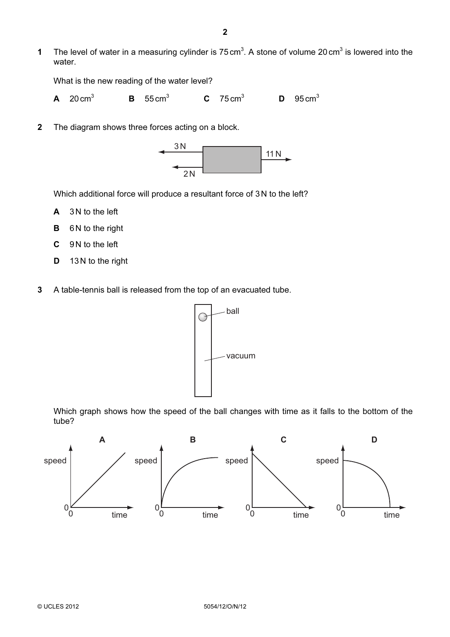What is the new reading of the water level?

**A** 20 $\text{cm}^3$  **B** 55 $\text{cm}^3$  **C** 75 $\text{cm}^3$  **D** 95 $\text{cm}^3$ 

2 The diagram shows three forces acting on a block.



Which additional force will produce a resultant force of 3N to the left?

- A 3N to the left
- **B** 6N to the right
- C 9N to the left
- D 13N to the right
- 3 A table-tennis ball is released from the top of an evacuated tube.



Which graph shows how the speed of the ball changes with time as it falls to the bottom of the tube?

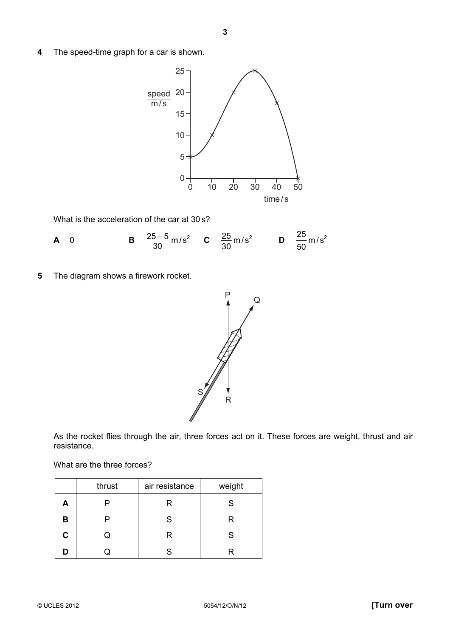4 The speed-time graph for a car is shown.



What is the acceleration of the car at 30s?

**A** 0 **B** 
$$
\frac{25-5}{30}
$$
 m/s<sup>2</sup> **C**  $\frac{25}{30}$  m/s<sup>2</sup> **D**  $\frac{25}{50}$  m/s<sup>2</sup>

5 The diagram shows a firework rocket.



As the rocket flies through the air, three forces act on it. These forces are weight, thrust and air resistance.

|             | thrust | air resistance | weight |
|-------------|--------|----------------|--------|
| Α           |        | R              | S      |
| B           |        | S              | R      |
| $\mathbf c$ | ړپ     | R              | S      |
| D           |        | ς              |        |

What are the three forces?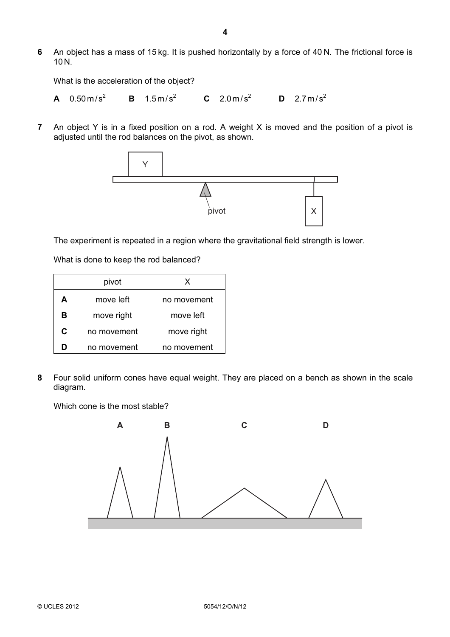6 An object has a mass of 15 kg. It is pushed horizontally by a force of 40 N. The frictional force is 10N.

What is the acceleration of the object?

**A**  $0.50 \text{ m/s}^2$  **B**  $1.5 \text{ m/s}^2$  **C**  $2.0 \text{ m/s}^2$  **D**  $2.7 \text{ m/s}^2$ 

7 An object Y is in a fixed position on a rod. A weight X is moved and the position of a pivot is adjusted until the rod balances on the pivot, as shown.



The experiment is repeated in a region where the gravitational field strength is lower.

What is done to keep the rod balanced?

|   | pivot       | x           |  |
|---|-------------|-------------|--|
| А | move left   | no movement |  |
| в | move right  | move left   |  |
| C | no movement | move right  |  |
| n | no movement | no movement |  |

8 Four solid uniform cones have equal weight. They are placed on a bench as shown in the scale diagram.

Which cone is the most stable?

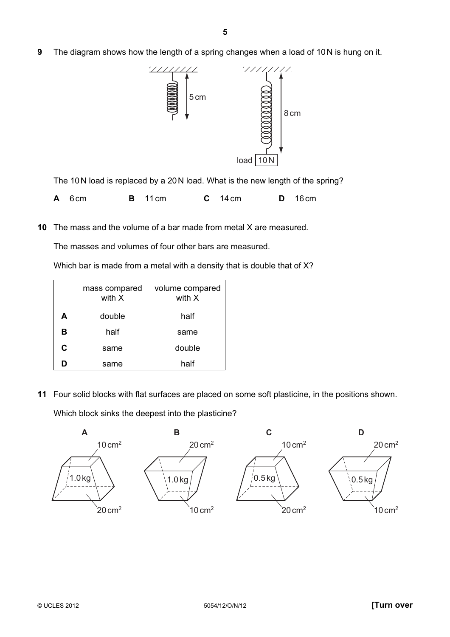9 The diagram shows how the length of a spring changes when a load of 10N is hung on it.



The 10N load is replaced by a 20N load. What is the new length of the spring?

**A** 6cm **B** 11cm **C** 14cm **D** 16cm

10 The mass and the volume of a bar made from metal X are measured.

The masses and volumes of four other bars are measured.

Which bar is made from a metal with a density that is double that of X?

|   | mass compared<br>with X | volume compared<br>with $X$ |  |  |
|---|-------------------------|-----------------------------|--|--|
| A | double                  | half                        |  |  |
| в | half                    | same                        |  |  |
| C | same                    | double                      |  |  |
| D | same                    | half                        |  |  |

11 Four solid blocks with flat surfaces are placed on some soft plasticine, in the positions shown.

Which block sinks the deepest into the plasticine?

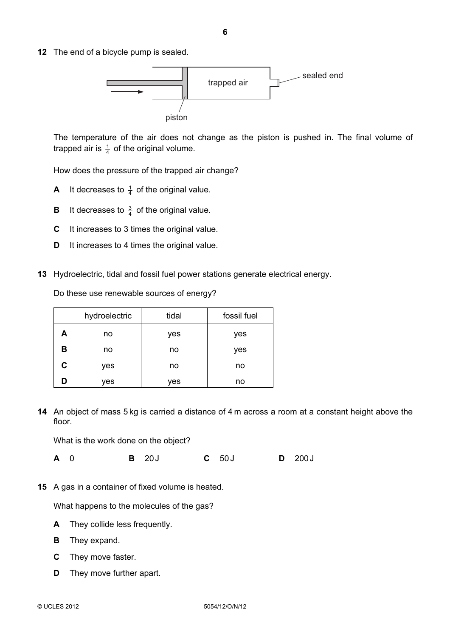12 The end of a bicycle pump is sealed.



The temperature of the air does not change as the piston is pushed in. The final volume of trapped air is  $\frac{1}{4}$  of the original volume.

How does the pressure of the trapped air change?

- **A** It decreases to  $\frac{1}{4}$  of the original value.
- **B** It decreases to  $\frac{3}{4}$  of the original value.
- C It increases to 3 times the original value.
- D It increases to 4 times the original value.
- 13 Hydroelectric, tidal and fossil fuel power stations generate electrical energy.

Do these use renewable sources of energy?

|   | hydroelectric | tidal | fossil fuel |  |  |
|---|---------------|-------|-------------|--|--|
| Α | no            | yes   | yes         |  |  |
| в | no            | no    | yes         |  |  |
| C | yes           | no    | no          |  |  |
|   | yes           | yes   | no          |  |  |

14 An object of mass 5 kg is carried a distance of 4 m across a room at a constant height above the floor.

What is the work done on the object?

A 0 B 20J C 50J D 200J

15 A gas in a container of fixed volume is heated.

What happens to the molecules of the gas?

- A They collide less frequently.
- **B** They expand.
- C They move faster.
- **D** They move further apart.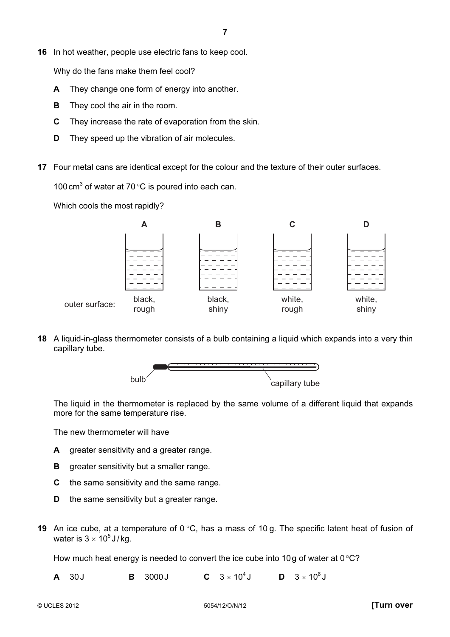16 In hot weather, people use electric fans to keep cool.

Why do the fans make them feel cool?

- A They change one form of energy into another.
- **B** They cool the air in the room.
- C They increase the rate of evaporation from the skin.
- **D** They speed up the vibration of air molecules.
- 17 Four metal cans are identical except for the colour and the texture of their outer surfaces.

100 cm<sup>3</sup> of water at 70 $\degree$ C is poured into each can.

Which cools the most rapidly?



18 A liquid-in-glass thermometer consists of a bulb containing a liquid which expands into a very thin capillary tube.



The liquid in the thermometer is replaced by the same volume of a different liquid that expands more for the same temperature rise.

The new thermometer will have

- A greater sensitivity and a greater range.
- **B** greater sensitivity but a smaller range.
- C the same sensitivity and the same range.
- **D** the same sensitivity but a greater range.
- 19 An ice cube, at a temperature of 0 °C, has a mass of 10 q. The specific latent heat of fusion of water is  $3 \times 10^5$  J/kg.

How much heat energy is needed to convert the ice cube into 10g of water at  $0^{\circ}C$ ?

**A** 30J **B** 3000J **C**  $3 \times 10^4$ J **D**  $3 \times 10^6$ J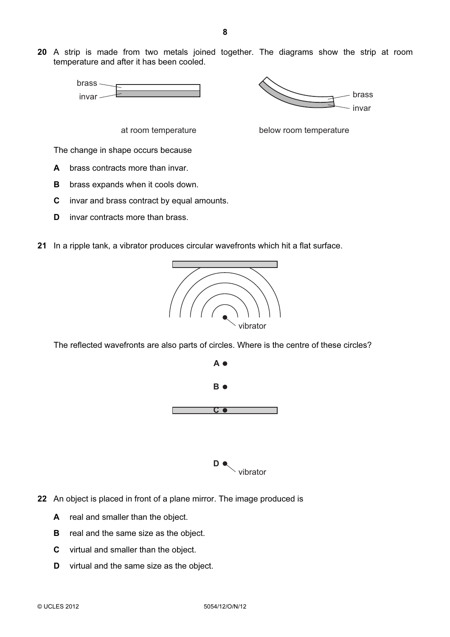20 A strip is made from two metals joined together. The diagrams show the strip at room temperature and after it has been cooled.



The change in shape occurs because

- A brass contracts more than invar.
- **B** brass expands when it cools down.
- C invar and brass contract by equal amounts.
- D invar contracts more than brass.
- 21 In a ripple tank, a vibrator produces circular wavefronts which hit a flat surface.



The reflected wavefronts are also parts of circles. Where is the centre of these circles?



- 22 An object is placed in front of a plane mirror. The image produced is
	- A real and smaller than the object.
	- **B** real and the same size as the object.
	- C virtual and smaller than the object.
	- D virtual and the same size as the object.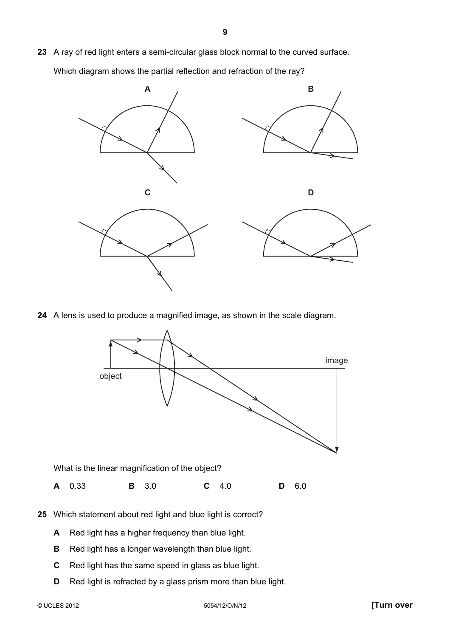23 A ray of red light enters a semi-circular glass block normal to the curved surface.

Which diagram shows the partial reflection and refraction of the ray?



24 A lens is used to produce a magnified image, as shown in the scale diagram.



- 25 Which statement about red light and blue light is correct?
	- A Red light has a higher frequency than blue light.
	- **B** Red light has a longer wavelength than blue light.
	- **C** Red light has the same speed in glass as blue light.
	- D Red light is refracted by a glass prism more than blue light.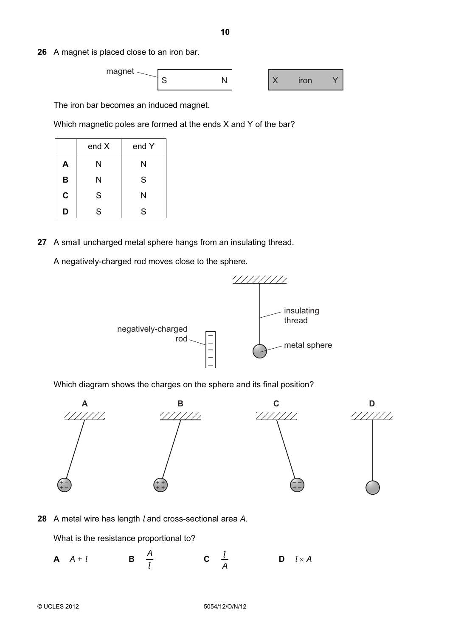26 A magnet is placed close to an iron bar.

S N X iron Y magnet

The iron bar becomes an induced magnet.

Which magnetic poles are formed at the ends X and Y of the bar?

|             | end X | end Y |
|-------------|-------|-------|
| A           | Ν     | Ν     |
| B<br>Ν      |       | S     |
| $\mathbf C$ | S     | N     |
| D           | S     | S     |

27 A small uncharged metal sphere hangs from an insulating thread.

A negatively-charged rod moves close to the sphere.



Which diagram shows the charges on the sphere and its final position?



28 A metal wire has length  $l$  and cross-sectional area  $A$ .

What is the resistance proportional to?

**A** 
$$
A+l
$$
 **B**  $\frac{A}{l}$  **C**  $\frac{l}{A}$  **D**  $l \times A$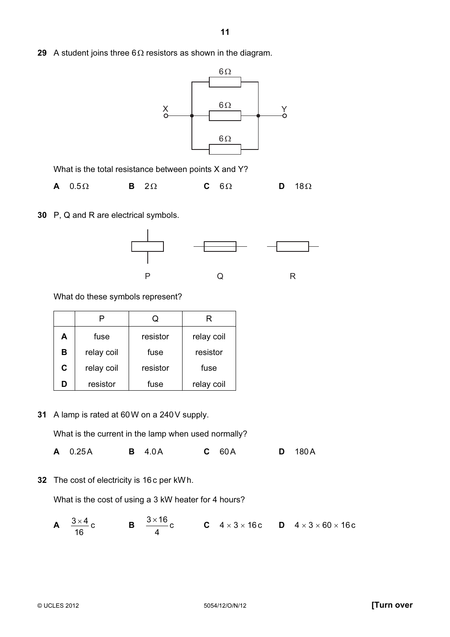29 A student joins three  $6\Omega$  resistors as shown in the diagram.



What is the total resistance between points X and Y?

**A**  $0.5\Omega$  **B**  $2\Omega$  **C**  $6\Omega$  **D**  $18\Omega$ 

30 P, Q and R are electrical symbols.



What do these symbols represent?

|   |            | Q        | к          |  |
|---|------------|----------|------------|--|
| A | fuse       | resistor | relay coil |  |
| B | relay coil | fuse     | resistor   |  |
| C | relay coil | resistor | fuse       |  |
| D | resistor   | fuse     | relay coil |  |

31 A lamp is rated at 60W on a 240V supply.

What is the current in the lamp when used normally?

A 0.25A B 4.0A C 60A D 180A

32 The cost of electricity is 16c per kWh.

What is the cost of using a 3 kW heater for 4 hours?

**A** 
$$
\frac{3\times4}{16}
$$
 **B**  $\frac{3\times16}{4}$  **C**  $4\times3\times16$  **D**  $4\times3\times60\times16$  **c**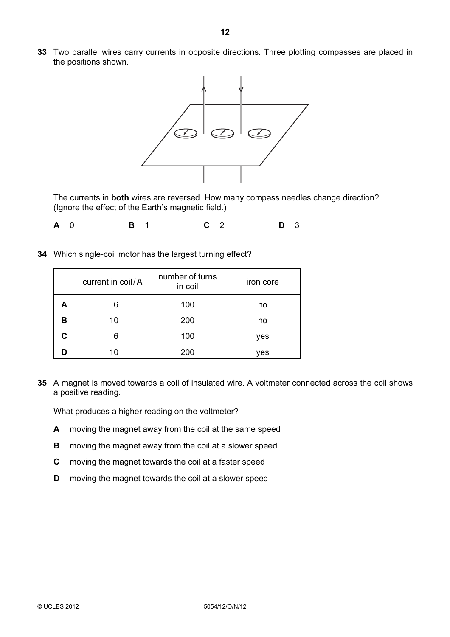33 Two parallel wires carry currents in opposite directions. Three plotting compasses are placed in the positions shown.



The currents in both wires are reversed. How many compass needles change direction? (Ignore the effect of the Earth's magnetic field.)

**A** 0 **B** 1 **C** 2 **D** 3

34 Which single-coil motor has the largest turning effect?

|   | current in coil/A | number of turns<br>in coil | iron core |
|---|-------------------|----------------------------|-----------|
|   | 6                 | 100                        | no        |
| в | 10                | 200                        | no        |
| C | 6                 | 100                        | yes       |
|   | 10                | 200                        | yes       |

35 A magnet is moved towards a coil of insulated wire. A voltmeter connected across the coil shows a positive reading.

What produces a higher reading on the voltmeter?

- A moving the magnet away from the coil at the same speed
- **B** moving the magnet away from the coil at a slower speed
- C moving the magnet towards the coil at a faster speed
- **D** moving the magnet towards the coil at a slower speed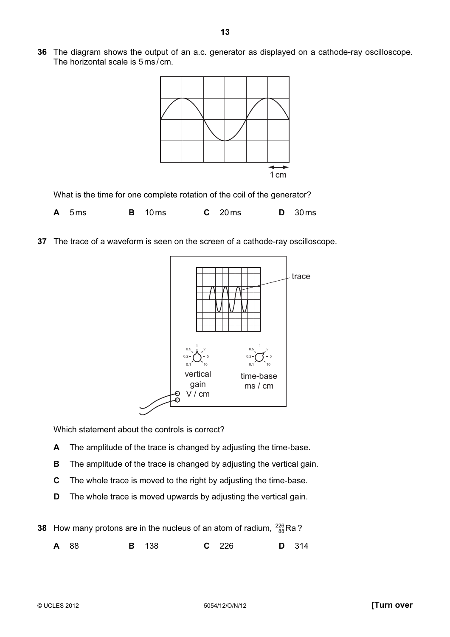36 The diagram shows the output of an a.c. generator as displayed on a cathode-ray oscilloscope. The horizontal scale is 5ms / cm.



What is the time for one complete rotation of the coil of the generator?

**A** 5ms **B** 10ms **C** 20ms **D** 30ms

37 The trace of a waveform is seen on the screen of a cathode-ray oscilloscope.



Which statement about the controls is correct?

- A The amplitude of the trace is changed by adjusting the time-base.
- **B** The amplitude of the trace is changed by adjusting the vertical gain.
- C The whole trace is moved to the right by adjusting the time-base.
- D The whole trace is moved upwards by adjusting the vertical gain.
- 38 How many protons are in the nucleus of an atom of radium,  $^{226}_{88}$ Ra?

| A 88 |  |  | <b>B</b> 138 |  | $C$ 226 |  | <b>D</b> 314 |
|------|--|--|--------------|--|---------|--|--------------|
|------|--|--|--------------|--|---------|--|--------------|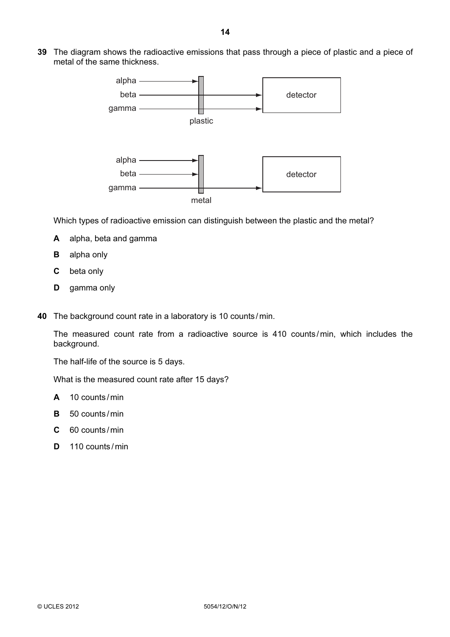39 The diagram shows the radioactive emissions that pass through a piece of plastic and a piece of metal of the same thickness.



Which types of radioactive emission can distinguish between the plastic and the metal?

- A alpha, beta and gamma
- **B** alpha only
- C beta only
- D gamma only
- 40 The background count rate in a laboratory is 10 counts / min.

The measured count rate from a radioactive source is 410 counts/min, which includes the background.

The half-life of the source is 5 days.

What is the measured count rate after 15 days?

- A 10 counts /min
- **B** 50 counts/min
- C 60 counts /min
- D 110 counts/min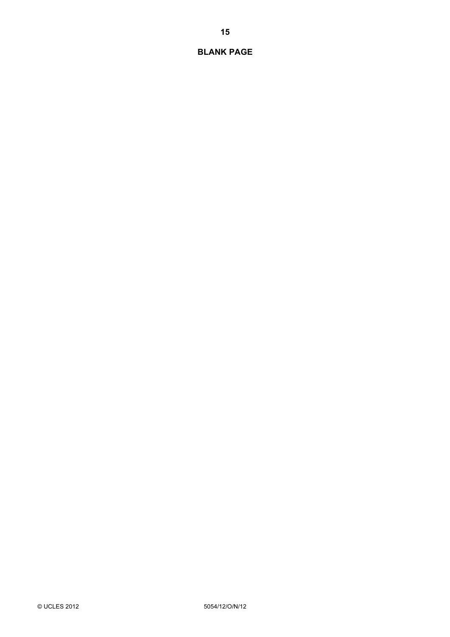# BLANK PAGE